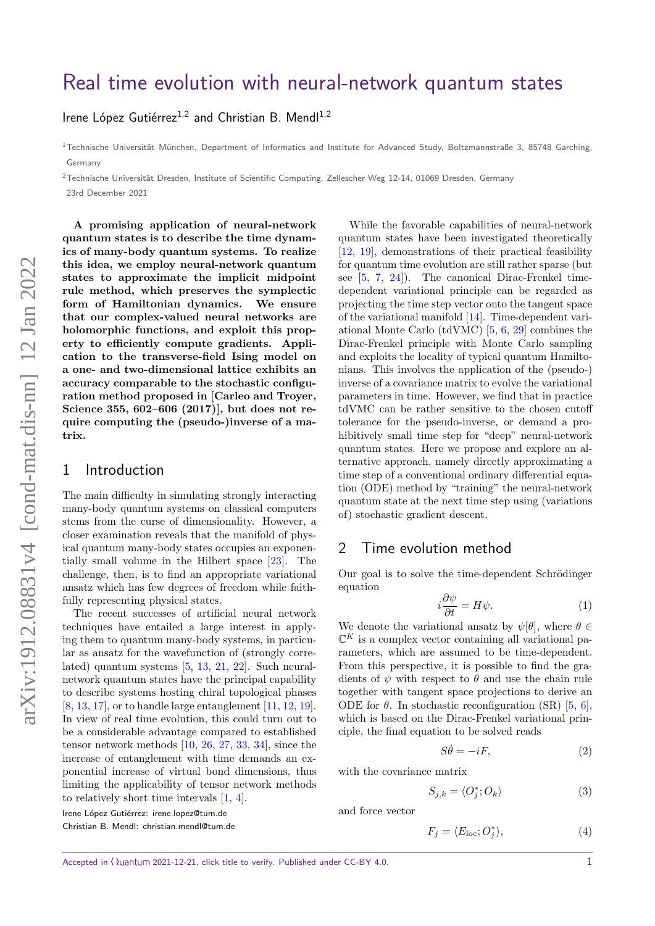# [Real time evolution with neural-network quantum states](https://quantum-journal.org/?s=Real%20time%20evolution%20with%20neural-network%20quantum%20states&reason=title-click)

Irene López Gutiérrez<sup>1,2</sup> and Christian B. Mendl<sup>1,2</sup>

 $1$ Technische Universität München, Department of Informatics and Institute for Advanced Study, Boltzmannstraße 3, 85748 Garching, Germany

 $2$ Technische Universität Dresden, Institute of Scientific Computing, Zellescher Weg 12-14, 01069 Dresden, Germany

23rd December 2021

**A promising application of neural-network quantum states is to describe the time dynamics of many-body quantum systems. To realize this idea, we employ neural-network quantum states to approximate the implicit midpoint rule method, which preserves the symplectic form of Hamiltonian dynamics. We ensure that our complex-valued neural networks are holomorphic functions, and exploit this property to efficiently compute gradients. Application to the transverse-field Ising model on a one- and two-dimensional lattice exhibits an accuracy comparable to the stochastic configuration method proposed in [\[Carleo and Troyer,](https://doi.org/10.1126/science.aag2302) [Science 355, 602–606 \(2017\)\]](https://doi.org/10.1126/science.aag2302), but does not require computing the (pseudo-)inverse of a matrix.**

#### 1 Introduction

The main difficulty in simulating strongly interacting many-body quantum systems on classical computers stems from the curse of dimensionality. However, a closer examination reveals that the manifold of physical quantum many-body states occupies an exponentially small volume in the Hilbert space [\[23\]](#page-4-0). The challenge, then, is to find an appropriate variational ansatz which has few degrees of freedom while faithfully representing physical states.

The recent successes of artificial neural network techniques have entailed a large interest in applying them to quantum many-body systems, in particular as ansatz for the wavefunction of (strongly correlated) quantum systems [\[5,](#page-4-1) [13,](#page-4-2) [21,](#page-4-3) [22\]](#page-4-4). Such neuralnetwork quantum states have the principal capability to describe systems hosting chiral topological phases [\[8,](#page-4-5) [13,](#page-4-2) [17\]](#page-4-6), or to handle large entanglement [\[11,](#page-4-7) [12,](#page-4-8) [19\]](#page-4-9). In view of real time evolution, this could turn out to be a considerable advantage compared to established tensor network methods [\[10,](#page-4-10) [26,](#page-4-11) [27,](#page-4-12) [33,](#page-5-0) [34\]](#page-5-1), since the increase of entanglement with time demands an exponential increase of virtual bond dimensions, thus limiting the applicability of tensor network methods to relatively short time intervals [\[1,](#page-4-13) [4\]](#page-4-14).

Irene López Gutiérrez: [irene.lopez@tum.de](mailto:irene.lopez@tum.de)

Christian B. Mendl: [christian.mendl@tum.de](mailto:christian.mendl@tum.de)

While the favorable capabilities of neural-network quantum states have been investigated theoretically [\[12,](#page-4-8) [19\]](#page-4-9), demonstrations of their practical feasibility for quantum time evolution are still rather sparse (but see  $[5, 7, 24]$  $[5, 7, 24]$  $[5, 7, 24]$  $[5, 7, 24]$  $[5, 7, 24]$ . The canonical Dirac-Frenkel timedependent variational principle can be regarded as projecting the time step vector onto the tangent space of the variational manifold [\[14\]](#page-4-17). Time-dependent variational Monte Carlo (tdVMC) [\[5,](#page-4-1) [6,](#page-4-18) [29\]](#page-5-2) combines the Dirac-Frenkel principle with Monte Carlo sampling and exploits the locality of typical quantum Hamiltonians. This involves the application of the (pseudo-) inverse of a covariance matrix to evolve the variational parameters in time. However, we find that in practice tdVMC can be rather sensitive to the chosen cutoff tolerance for the pseudo-inverse, or demand a prohibitively small time step for "deep" neural-network quantum states. Here we propose and explore an alternative approach, namely directly approximating a time step of a conventional ordinary differential equation (ODE) method by "training" the neural-network quantum state at the next time step using (variations of) stochastic gradient descent.

### 2 Time evolution method

Our goal is to solve the time-dependent Schrödinger equation

$$
i\frac{\partial \psi}{\partial t} = H\psi.
$$
 (1)

We denote the variational ansatz by  $\psi[\theta]$ , where  $\theta \in$  $\mathbb{C}^K$  is a complex vector containing all variational parameters, which are assumed to be time-dependent. From this perspective, it is possible to find the gradients of  $\psi$  with respect to  $\theta$  and use the chain rule together with tangent space projections to derive an ODE for  $\theta$ . In stochastic reconfiguration (SR) [\[5,](#page-4-1) [6\]](#page-4-18), which is based on the Dirac-Frenkel variational principle, the final equation to be solved reads

<span id="page-0-0"></span>
$$
S\dot{\theta} = -iF,\tag{2}
$$

with the covariance matrix

$$
S_{j,k} = \langle O_j^*; O_k \rangle \tag{3}
$$

and force vector

$$
F_j = \langle E_{\text{loc}}; O_j^* \rangle,\tag{4}
$$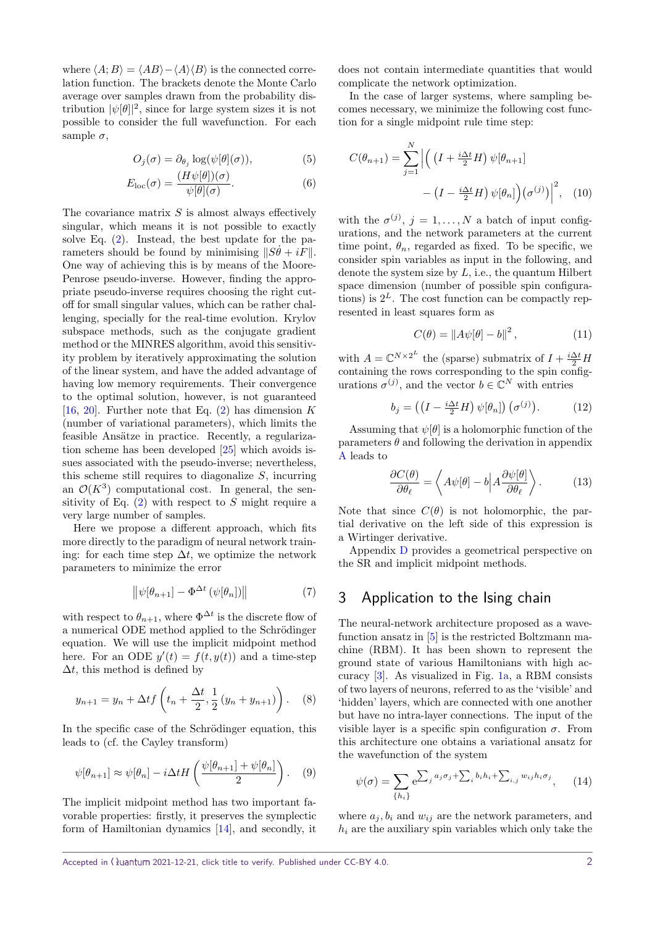where  $\langle A; B \rangle = \langle AB \rangle - \langle A \rangle \langle B \rangle$  is the connected correlation function. The brackets denote the Monte Carlo average over samples drawn from the probability distribution  $|\psi[\theta]|^2$ , since for large system sizes it is not possible to consider the full wavefunction. For each sample  $\sigma$ ,

$$
O_j(\sigma) = \partial_{\theta_j} \log(\psi[\theta](\sigma)),\tag{5}
$$

$$
E_{\rm loc}(\sigma) = \frac{(H\psi[\theta])(\sigma)}{\psi[\theta](\sigma)}.
$$
 (6)

The covariance matrix *S* is almost always effectively singular, which means it is not possible to exactly solve Eq. [\(2\)](#page-0-0). Instead, the best update for the parameters should be found by minimising  $||S\theta + iF||$ . One way of achieving this is by means of the Moore-Penrose pseudo-inverse. However, finding the appropriate pseudo-inverse requires choosing the right cutoff for small singular values, which can be rather challenging, specially for the real-time evolution. Krylov subspace methods, such as the conjugate gradient method or the MINRES algorithm, avoid this sensitivity problem by iteratively approximating the solution of the linear system, and have the added advantage of having low memory requirements. Their convergence to the optimal solution, however, is not guaranteed [\[16,](#page-4-19) [20\]](#page-4-20). Further note that Eq. [\(2\)](#page-0-0) has dimension *K* (number of variational parameters), which limits the feasible Ansätze in practice. Recently, a regularization scheme has been developed [\[25\]](#page-4-21) which avoids issues associated with the pseudo-inverse; nevertheless, this scheme still requires to diagonalize *S*, incurring an  $\mathcal{O}(K^3)$  computational cost. In general, the sensitivity of Eq. [\(2\)](#page-0-0) with respect to *S* might require a very large number of samples.

Here we propose a different approach, which fits more directly to the paradigm of neural network training: for each time step  $\Delta t$ , we optimize the network parameters to minimize the error

<span id="page-1-4"></span>
$$
\left\|\psi[\theta_{n+1}] - \Phi^{\Delta t}\left(\psi[\theta_n]\right)\right\|\tag{7}
$$

with respect to  $\theta_{n+1}$ , where  $\Phi^{\Delta t}$  is the discrete flow of a numerical ODE method applied to the Schrödinger equation. We will use the implicit midpoint method here. For an ODE  $y'(t) = f(t, y(t))$  and a time-step ∆*t*, this method is defined by

$$
y_{n+1} = y_n + \Delta t f\left(t_n + \frac{\Delta t}{2}, \frac{1}{2}(y_n + y_{n+1})\right). \tag{8}
$$

In the specific case of the Schrödinger equation, this leads to (cf. the Cayley transform)

<span id="page-1-2"></span>
$$
\psi[\theta_{n+1}] \approx \psi[\theta_n] - i\Delta t H\left(\frac{\psi[\theta_{n+1}] + \psi[\theta_n]}{2}\right). \quad (9)
$$

The implicit midpoint method has two important favorable properties: firstly, it preserves the symplectic form of Hamiltonian dynamics [\[14\]](#page-4-17), and secondly, it does not contain intermediate quantities that would complicate the network optimization.

In the case of larger systems, where sampling becomes necessary, we minimize the following cost function for a single midpoint rule time step:

$$
C(\theta_{n+1}) = \sum_{j=1}^{N} \left| \left( \left( I + \frac{i\Delta t}{2} H \right) \psi[\theta_{n+1}] \right. \right. \\ \left. - \left( I - \frac{i\Delta t}{2} H \right) \psi[\theta_n] \right) \left( \sigma^{(j)} \right) \right|^2, \quad (10)
$$

with the  $\sigma^{(j)}$ ,  $j = 1, ..., N$  a batch of input configurations, and the network parameters at the current time point,  $\theta_n$ , regarded as fixed. To be specific, we consider spin variables as input in the following, and denote the system size by *L*, i.e., the quantum Hilbert space dimension (number of possible spin configurations) is  $2^L$ . The cost function can be compactly represented in least squares form as

<span id="page-1-3"></span><span id="page-1-1"></span>
$$
C(\theta) = \|A\psi[\theta] - b\|^2, \qquad (11)
$$

with  $A = \mathbb{C}^{N \times 2^L}$  the (sparse) submatrix of  $I + \frac{i\Delta t}{2}H$ containing the rows corresponding to the spin configurations  $\sigma^{(j)}$ , and the vector  $b \in \mathbb{C}^N$  with entries

$$
b_j = \left( \left( I - \frac{i\Delta t}{2} H \right) \psi[\theta_n] \right) \left( \sigma^{(j)} \right). \tag{12}
$$

Assuming that  $\psi[\theta]$  is a holomorphic function of the parameters  $\theta$  and following the derivation in appendix [A](#page-6-0) leads to

$$
\frac{\partial C(\theta)}{\partial \theta_{\ell}} = \left\langle A\psi[\theta] - b \middle| A \frac{\partial \psi[\theta]}{\partial \theta_{\ell}} \right\rangle. \tag{13}
$$

Note that since  $C(\theta)$  is not holomorphic, the partial derivative on the left side of this expression is a Wirtinger derivative.

Appendix [D](#page-9-0) provides a geometrical perspective on the SR and implicit midpoint methods.

### 3 Application to the Ising chain

The neural-network architecture proposed as a wavefunction ansatz in [\[5\]](#page-4-1) is the restricted Boltzmann machine (RBM). It has been shown to represent the ground state of various Hamiltonians with high accuracy [\[3\]](#page-4-22). As visualized in Fig. [1a,](#page-2-0) a RBM consists of two layers of neurons, referred to as the 'visible' and 'hidden' layers, which are connected with one another but have no intra-layer connections. The input of the visible layer is a specific spin configuration  $\sigma$ . From this architecture one obtains a variational ansatz for the wavefunction of the system

<span id="page-1-0"></span>
$$
\psi(\sigma) = \sum_{\{h_i\}} e^{\sum_j a_j \sigma_j + \sum_i b_i h_i + \sum_{i,j} w_{ij} h_i \sigma_j}, \qquad (14)
$$

where  $a_j$ ,  $b_i$  and  $w_{ij}$  are the network parameters, and *h<sup>i</sup>* are the auxiliary spin variables which only take the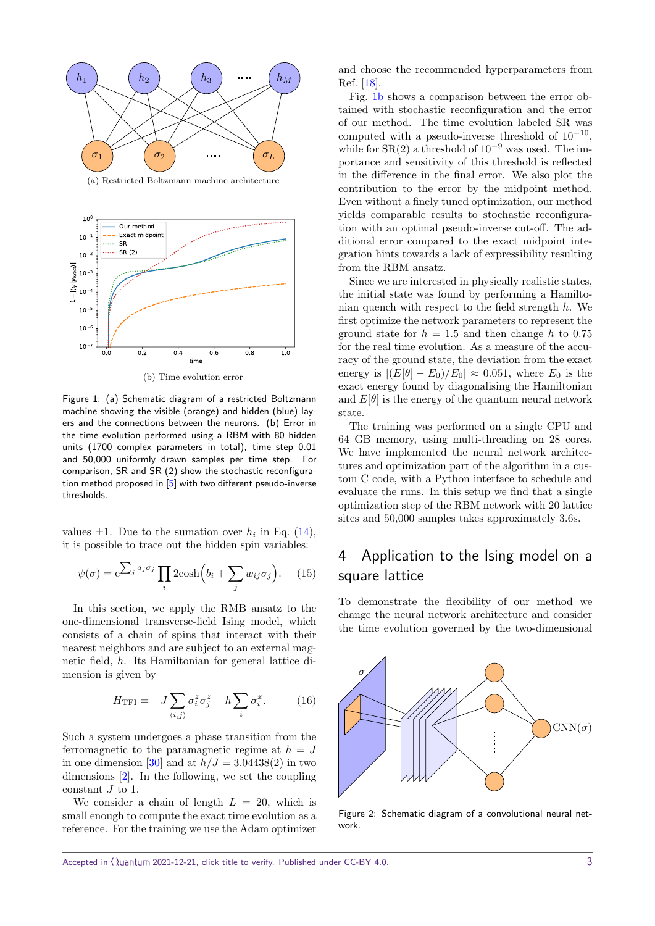<span id="page-2-0"></span>

(a) Restricted Boltzmann machine architecture



(b) Time evolution error

<span id="page-2-1"></span>Figure 1: (a) Schematic diagram of a restricted Boltzmann machine showing the visible (orange) and hidden (blue) layers and the connections between the neurons. (b) Error in the time evolution performed using a RBM with 80 hidden units (1700 complex parameters in total), time step 0.01 and 50,000 uniformly drawn samples per time step. For comparison, SR and SR (2) show the stochastic reconfiguration method proposed in  $[5]$  with two different pseudo-inverse thresholds.

values  $\pm 1$ . Due to the sumation over  $h_i$  in Eq. [\(14\)](#page-1-0), it is possible to trace out the hidden spin variables:

$$
\psi(\sigma) = e^{\sum_j a_j \sigma_j} \prod_i 2\cosh\left(b_i + \sum_j w_{ij} \sigma_j\right). \tag{15}
$$

In this section, we apply the RMB ansatz to the one-dimensional transverse-field Ising model, which consists of a chain of spins that interact with their nearest neighbors and are subject to an external magnetic field, *h*. Its Hamiltonian for general lattice dimension is given by

<span id="page-2-2"></span>
$$
H_{\rm TFI} = -J \sum_{\langle i,j \rangle} \sigma_i^z \sigma_j^z - h \sum_i \sigma_i^x. \tag{16}
$$

Such a system undergoes a phase transition from the ferromagnetic to the paramagnetic regime at  $h = J$ in one dimension [\[30\]](#page-5-3) and at  $h/J = 3.04438(2)$  in two dimensions [\[2\]](#page-4-23). In the following, we set the coupling constant *J* to 1.

We consider a chain of length  $L = 20$ , which is small enough to compute the exact time evolution as a reference. For the training we use the Adam optimizer

and choose the recommended hyperparameters from Ref. [\[18\]](#page-4-24).

Fig. [1b](#page-2-1) shows a comparison between the error obtained with stochastic reconfiguration and the error of our method. The time evolution labeled SR was computed with a pseudo-inverse threshold of  $10^{-10}$ , while for  $SR(2)$  a threshold of  $10^{-9}$  was used. The importance and sensitivity of this threshold is reflected in the difference in the final error. We also plot the contribution to the error by the midpoint method. Even without a finely tuned optimization, our method yields comparable results to stochastic reconfiguration with an optimal pseudo-inverse cut-off. The additional error compared to the exact midpoint integration hints towards a lack of expressibility resulting from the RBM ansatz.

Since we are interested in physically realistic states, the initial state was found by performing a Hamiltonian quench with respect to the field strength *h*. We first optimize the network parameters to represent the ground state for  $h = 1.5$  and then change h to 0.75 for the real time evolution. As a measure of the accuracy of the ground state, the deviation from the exact energy is  $|(E|\theta| - E_0)/E_0| \approx 0.051$ , where  $E_0$  is the exact energy found by diagonalising the Hamiltonian and  $E[\theta]$  is the energy of the quantum neural network state.

The training was performed on a single CPU and 64 GB memory, using multi-threading on 28 cores. We have implemented the neural network architectures and optimization part of the algorithm in a custom C code, with a Python interface to schedule and evaluate the runs. In this setup we find that a single optimization step of the RBM network with 20 lattice sites and 50,000 samples takes approximately 3.6s.

## 4 Application to the Ising model on a square lattice

To demonstrate the flexibility of our method we change the neural network architecture and consider the time evolution governed by the two-dimensional

<span id="page-2-3"></span>

Figure 2: Schematic diagram of a convolutional neural network.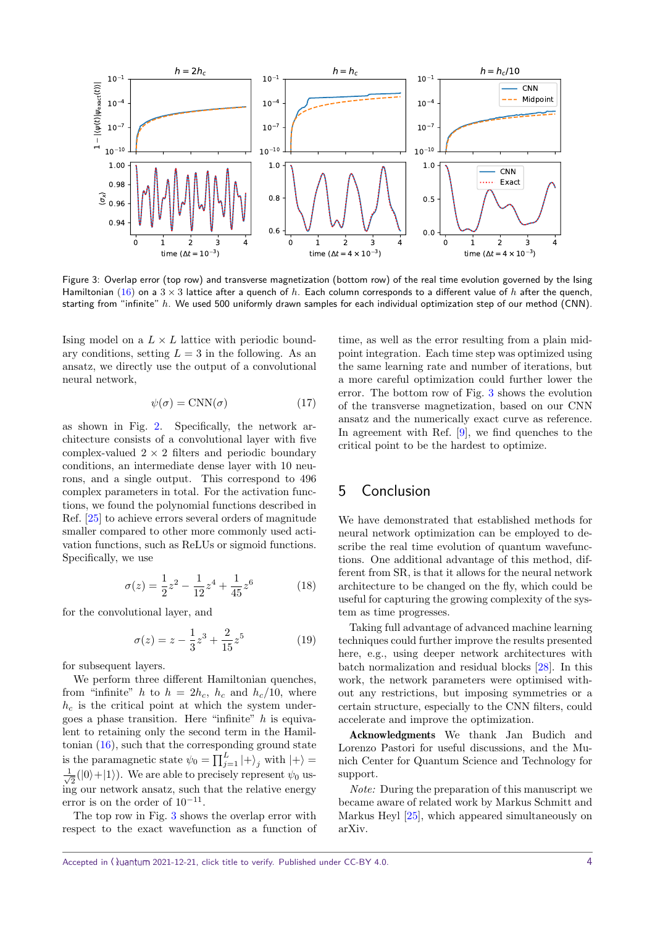<span id="page-3-0"></span>

Figure 3: Overlap error (top row) and transverse magnetization (bottom row) of the real time evolution governed by the Ising Hamiltonian [\(16\)](#page-2-2) on a 3 × 3 lattice after a quench of *h*. Each column corresponds to a different value of *h* after the quench, starting from "infinite" *h*. We used 500 uniformly drawn samples for each individual optimization step of our method (CNN).

Ising model on a  $L \times L$  lattice with periodic boundary conditions, setting  $L = 3$  in the following. As an ansatz, we directly use the output of a convolutional neural network,

$$
\psi(\sigma) = \text{CNN}(\sigma) \tag{17}
$$

as shown in Fig. [2.](#page-2-3) Specifically, the network architecture consists of a convolutional layer with five complex-valued  $2 \times 2$  filters and periodic boundary conditions, an intermediate dense layer with 10 neurons, and a single output. This correspond to 496 complex parameters in total. For the activation functions, we found the polynomial functions described in Ref. [\[25\]](#page-4-21) to achieve errors several orders of magnitude smaller compared to other more commonly used activation functions, such as ReLUs or sigmoid functions. Specifically, we use

$$
\sigma(z) = \frac{1}{2}z^2 - \frac{1}{12}z^4 + \frac{1}{45}z^6 \tag{18}
$$

for the convolutional layer, and

$$
\sigma(z) = z - \frac{1}{3}z^3 + \frac{2}{15}z^5 \tag{19}
$$

for subsequent layers.

We perform three different Hamiltonian quenches, from "infinite" *h* to  $h = 2h_c$ ,  $h_c$  and  $h_c/10$ , where  $h_c$  is the critical point at which the system undergoes a phase transition. Here "infinite" *h* is equivalent to retaining only the second term in the Hamiltonian  $(16)$ , such that the corresponding ground state is the paramagnetic state  $\psi_0 = \prod_{j=1}^{L} |+ \rangle_j$  with  $|+ \rangle =$  $\frac{1}{2}$  $\frac{1}{2}(|0\rangle+|1\rangle)$ . We are able to precisely represent  $\psi_0$  using our network ansatz, such that the relative energy error is on the order of  $10^{-11}$ .

The top row in Fig. [3](#page-3-0) shows the overlap error with respect to the exact wavefunction as a function of

time, as well as the error resulting from a plain midpoint integration. Each time step was optimized using the same learning rate and number of iterations, but a more careful optimization could further lower the error. The bottom row of Fig. [3](#page-3-0) shows the evolution of the transverse magnetization, based on our CNN ansatz and the numerically exact curve as reference. In agreement with Ref. [\[9\]](#page-4-25), we find quenches to the critical point to be the hardest to optimize.

## 5 Conclusion

We have demonstrated that established methods for neural network optimization can be employed to describe the real time evolution of quantum wavefunctions. One additional advantage of this method, different from SR, is that it allows for the neural network architecture to be changed on the fly, which could be useful for capturing the growing complexity of the system as time progresses.

Taking full advantage of advanced machine learning techniques could further improve the results presented here, e.g., using deeper network architectures with batch normalization and residual blocks [\[28\]](#page-5-4). In this work, the network parameters were optimised without any restrictions, but imposing symmetries or a certain structure, especially to the CNN filters, could accelerate and improve the optimization.

Acknowledgments We thank Jan Budich and Lorenzo Pastori for useful discussions, and the Munich Center for Quantum Science and Technology for support.

Note: During the preparation of this manuscript we became aware of related work by Markus Schmitt and Markus Heyl [\[25\]](#page-4-21), which appeared simultaneously on arXiv.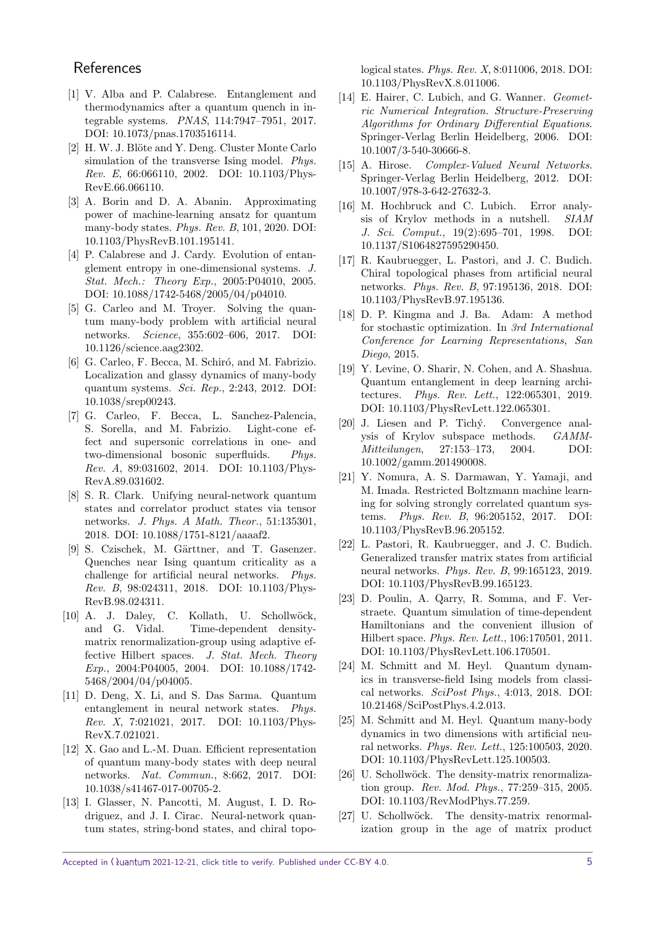## **References**

- <span id="page-4-13"></span>[1] V. Alba and P. Calabrese. Entanglement and thermodynamics after a quantum quench in integrable systems. PNAS, 114:7947–7951, 2017. [DOI: 10.1073/pnas.1703516114.](https://doi.org/10.1073/pnas.1703516114)
- <span id="page-4-23"></span>[2] H. W. J. Blöte and Y. Deng. Cluster Monte Carlo simulation of the transverse Ising model. Phys. Rev. E, 66:066110, 2002. [DOI: 10.1103/Phys-](https://doi.org/10.1103/PhysRevE.66.066110)[RevE.66.066110.](https://doi.org/10.1103/PhysRevE.66.066110)
- <span id="page-4-22"></span>[3] A. Borin and D. A. Abanin. Approximating power of machine-learning ansatz for quantum many-body states. Phys. Rev. B, 101, 2020. [DOI:](https://doi.org/10.1103/PhysRevB.101.195141) [10.1103/PhysRevB.101.195141.](https://doi.org/10.1103/PhysRevB.101.195141)
- <span id="page-4-14"></span>[4] P. Calabrese and J. Cardy. Evolution of entanglement entropy in one-dimensional systems. J. Stat. Mech.: Theory Exp., 2005:P04010, 2005. [DOI: 10.1088/1742-5468/2005/04/p04010.](https://doi.org/10.1088/1742-5468/2005/04/p04010)
- <span id="page-4-1"></span>[5] G. Carleo and M. Trover. Solving the quantum many-body problem with artificial neural networks. Science, 355:602–606, 2017. [DOI:](https://doi.org/10.1126/science.aag2302) [10.1126/science.aag2302.](https://doi.org/10.1126/science.aag2302)
- <span id="page-4-18"></span>[6] G. Carleo, F. Becca, M. Schiró, and M. Fabrizio. Localization and glassy dynamics of many-body quantum systems. Sci. Rep., 2:243, 2012. [DOI:](https://doi.org/10.1038/srep00243) [10.1038/srep00243.](https://doi.org/10.1038/srep00243)
- <span id="page-4-15"></span>[7] G. Carleo, F. Becca, L. Sanchez-Palencia, S. Sorella, and M. Fabrizio. Light-cone effect and supersonic correlations in one- and two-dimensional bosonic superfluids. Phys. Rev. A, 89:031602, 2014. [DOI: 10.1103/Phys-](https://doi.org/10.1103/PhysRevA.89.031602)[RevA.89.031602.](https://doi.org/10.1103/PhysRevA.89.031602)
- <span id="page-4-5"></span>[8] S. R. Clark. Unifying neural-network quantum states and correlator product states via tensor networks. J. Phys. A Math. Theor., 51:135301, 2018. [DOI: 10.1088/1751-8121/aaaaf2.](https://doi.org/10.1088/1751-8121/aaaaf2)
- <span id="page-4-25"></span>[9] S. Czischek, M. Gärttner, and T. Gasenzer. Quenches near Ising quantum criticality as a challenge for artificial neural networks. Phys. Rev. B, 98:024311, 2018. [DOI: 10.1103/Phys-](https://doi.org/10.1103/PhysRevB.98.024311)[RevB.98.024311.](https://doi.org/10.1103/PhysRevB.98.024311)
- <span id="page-4-10"></span>[10] A. J. Daley, C. Kollath, U. Schollwöck, and G. Vidal. Time-dependent densitymatrix renormalization-group using adaptive effective Hilbert spaces. J. Stat. Mech. Theory Exp., 2004:P04005, 2004. [DOI: 10.1088/1742-](https://doi.org/10.1088/1742-5468/2004/04/p04005) [5468/2004/04/p04005.](https://doi.org/10.1088/1742-5468/2004/04/p04005)
- <span id="page-4-7"></span>[11] D. Deng, X. Li, and S. Das Sarma. Quantum entanglement in neural network states. Phys. Rev. X, 7:021021, 2017. [DOI: 10.1103/Phys-](https://doi.org/10.1103/PhysRevX.7.021021)[RevX.7.021021.](https://doi.org/10.1103/PhysRevX.7.021021)
- <span id="page-4-8"></span>[12] X. Gao and L.-M. Duan. Efficient representation of quantum many-body states with deep neural networks. Nat. Commun., 8:662, 2017. [DOI:](https://doi.org/10.1038/s41467-017-00705-2) [10.1038/s41467-017-00705-2.](https://doi.org/10.1038/s41467-017-00705-2)
- <span id="page-4-2"></span>[13] I. Glasser, N. Pancotti, M. August, I. D. Rodriguez, and J. I. Cirac. Neural-network quantum states, string-bond states, and chiral topo-

logical states. Phys. Rev. X, 8:011006, 2018. [DOI:](https://doi.org/10.1103/PhysRevX.8.011006) [10.1103/PhysRevX.8.011006.](https://doi.org/10.1103/PhysRevX.8.011006)

- <span id="page-4-17"></span>[14] E. Hairer, C. Lubich, and G. Wanner. *Geomet*ric Numerical Integration. Structure-Preserving Algorithms for Ordinary Differential Equations. Springer-Verlag Berlin Heidelberg, 2006. [DOI:](https://doi.org/10.1007/3-540-30666-8) [10.1007/3-540-30666-8.](https://doi.org/10.1007/3-540-30666-8)
- <span id="page-4-26"></span>[15] A. Hirose. Complex-Valued Neural Networks. Springer-Verlag Berlin Heidelberg, 2012. [DOI:](https://doi.org/10.1007/978-3-642-27632-3) [10.1007/978-3-642-27632-3.](https://doi.org/10.1007/978-3-642-27632-3)
- <span id="page-4-19"></span>[16] M. Hochbruck and C. Lubich. Error analysis of Krylov methods in a nutshell. SIAM J. Sci. Comput., 19(2):695–701, 1998. [DOI:](https://doi.org/10.1137/S1064827595290450) [10.1137/S1064827595290450.](https://doi.org/10.1137/S1064827595290450)
- <span id="page-4-6"></span>[17] R. Kaubruegger, L. Pastori, and J. C. Budich. Chiral topological phases from artificial neural networks. Phys. Rev. B, 97:195136, 2018. [DOI:](https://doi.org/10.1103/PhysRevB.97.195136) [10.1103/PhysRevB.97.195136.](https://doi.org/10.1103/PhysRevB.97.195136)
- <span id="page-4-24"></span>[18] D. P. Kingma and J. Ba. Adam: A method for stochastic optimization. In 3rd International Conference for Learning Representations, San Diego, 2015.
- <span id="page-4-9"></span>[19] Y. Levine, O. Sharir, N. Cohen, and A. Shashua. Quantum entanglement in deep learning architectures. Phys. Rev. Lett., 122:065301, 2019. [DOI: 10.1103/PhysRevLett.122.065301.](https://doi.org/10.1103/PhysRevLett.122.065301)
- <span id="page-4-20"></span>[20] J. Liesen and P. Tichý. Convergence analysis of Krylov subspace methods. GAMM-Mitteilungen, 27:153–173, 2004. [DOI:](https://doi.org/10.1002/gamm.201490008) [10.1002/gamm.201490008.](https://doi.org/10.1002/gamm.201490008)
- <span id="page-4-3"></span>[21] Y. Nomura, A. S. Darmawan, Y. Yamaji, and M. Imada. Restricted Boltzmann machine learning for solving strongly correlated quantum systems. Phys. Rev. B, 96:205152, 2017. [DOI:](https://doi.org/10.1103/PhysRevB.96.205152) [10.1103/PhysRevB.96.205152.](https://doi.org/10.1103/PhysRevB.96.205152)
- <span id="page-4-4"></span>[22] L. Pastori, R. Kaubruegger, and J. C. Budich. Generalized transfer matrix states from artificial neural networks. Phys. Rev. B, 99:165123, 2019. [DOI: 10.1103/PhysRevB.99.165123.](https://doi.org/10.1103/PhysRevB.99.165123)
- <span id="page-4-0"></span>[23] D. Poulin, A. Qarry, R. Somma, and F. Verstraete. Quantum simulation of time-dependent Hamiltonians and the convenient illusion of Hilbert space. Phys. Rev. Lett., 106:170501, 2011. [DOI: 10.1103/PhysRevLett.106.170501.](https://doi.org/10.1103/PhysRevLett.106.170501)
- <span id="page-4-16"></span>[24] M. Schmitt and M. Heyl. Quantum dynamics in transverse-field Ising models from classical networks. SciPost Phys., 4:013, 2018. [DOI:](https://doi.org/10.21468/SciPostPhys.4.2.013) [10.21468/SciPostPhys.4.2.013.](https://doi.org/10.21468/SciPostPhys.4.2.013)
- <span id="page-4-21"></span>[25] M. Schmitt and M. Heyl. Quantum many-body dynamics in two dimensions with artificial neural networks. Phys. Rev. Lett., 125:100503, 2020. [DOI: 10.1103/PhysRevLett.125.100503.](https://doi.org/10.1103/PhysRevLett.125.100503)
- <span id="page-4-11"></span>[26] U. Schollwöck. The density-matrix renormalization group. Rev. Mod. Phys., 77:259–315, 2005. [DOI: 10.1103/RevModPhys.77.259.](https://doi.org/10.1103/RevModPhys.77.259)
- <span id="page-4-12"></span>[27] U. Schollwöck. The density-matrix renormalization group in the age of matrix product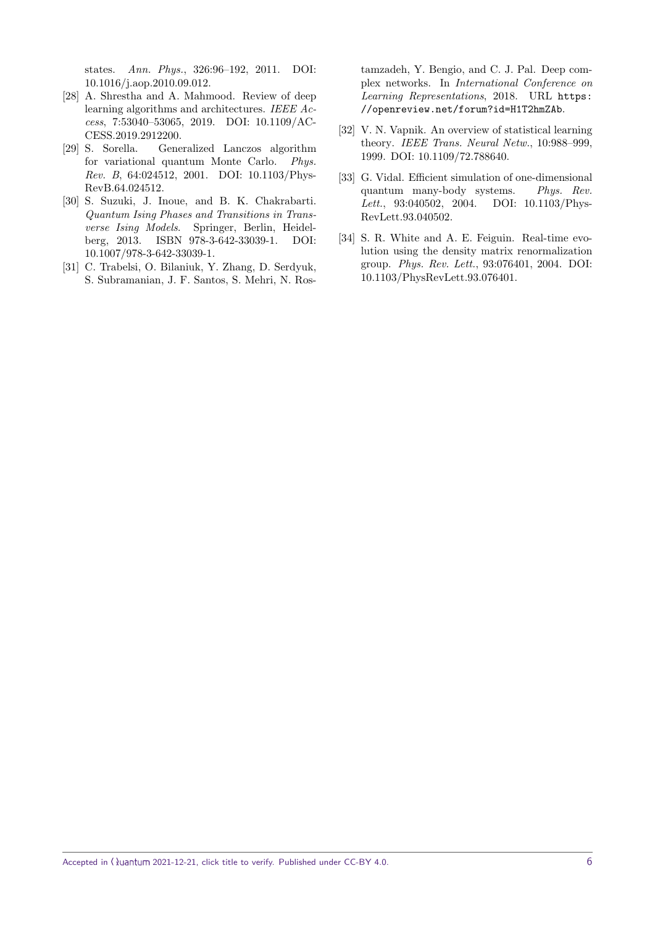states. Ann. Phys., 326:96–192, 2011. [DOI:](https://doi.org/10.1016/j.aop.2010.09.012) [10.1016/j.aop.2010.09.012.](https://doi.org/10.1016/j.aop.2010.09.012)

- <span id="page-5-4"></span>[28] A. Shrestha and A. Mahmood. Review of deep learning algorithms and architectures. IEEE Access, 7:53040–53065, 2019. [DOI: 10.1109/AC-](https://doi.org/10.1109/ACCESS.2019.2912200)[CESS.2019.2912200.](https://doi.org/10.1109/ACCESS.2019.2912200)
- <span id="page-5-2"></span>[29] S. Sorella. Generalized Lanczos algorithm for variational quantum Monte Carlo. Phys. Rev. B, 64:024512, 2001. [DOI: 10.1103/Phys-](https://doi.org/10.1103/PhysRevB.64.024512)[RevB.64.024512.](https://doi.org/10.1103/PhysRevB.64.024512)
- <span id="page-5-3"></span>[30] S. Suzuki, J. Inoue, and B. K. Chakrabarti. Quantum Ising Phases and Transitions in Transverse Ising Models. Springer, Berlin, Heidelberg, 2013. ISBN 978-3-642-33039-1. [DOI:](https://doi.org/10.1007/978-3-642-33039-1) [10.1007/978-3-642-33039-1.](https://doi.org/10.1007/978-3-642-33039-1)
- <span id="page-5-5"></span>[31] C. Trabelsi, O. Bilaniuk, Y. Zhang, D. Serdyuk, S. Subramanian, J. F. Santos, S. Mehri, N. Ros-

tamzadeh, Y. Bengio, and C. J. Pal. Deep complex networks. In International Conference on Learning Representations, 2018. URL [https:](https://openreview.net/forum?id=H1T2hmZAb) [//openreview.net/forum?id=H1T2hmZAb](https://openreview.net/forum?id=H1T2hmZAb).

- <span id="page-5-6"></span>[32] V. N. Vapnik. An overview of statistical learning theory. IEEE Trans. Neural Netw., 10:988–999, 1999. [DOI: 10.1109/72.788640.](https://doi.org/10.1109/72.788640)
- <span id="page-5-0"></span>[33] G. Vidal. Efficient simulation of one-dimensional quantum many-body systems. Phys. Rev. Lett., 93:040502, 2004. [DOI: 10.1103/Phys-](https://doi.org/10.1103/PhysRevLett.93.040502)[RevLett.93.040502.](https://doi.org/10.1103/PhysRevLett.93.040502)
- <span id="page-5-1"></span>[34] S. R. White and A. E. Feiguin. Real-time evolution using the density matrix renormalization group. Phys. Rev. Lett., 93:076401, 2004. [DOI:](https://doi.org/10.1103/PhysRevLett.93.076401) [10.1103/PhysRevLett.93.076401.](https://doi.org/10.1103/PhysRevLett.93.076401)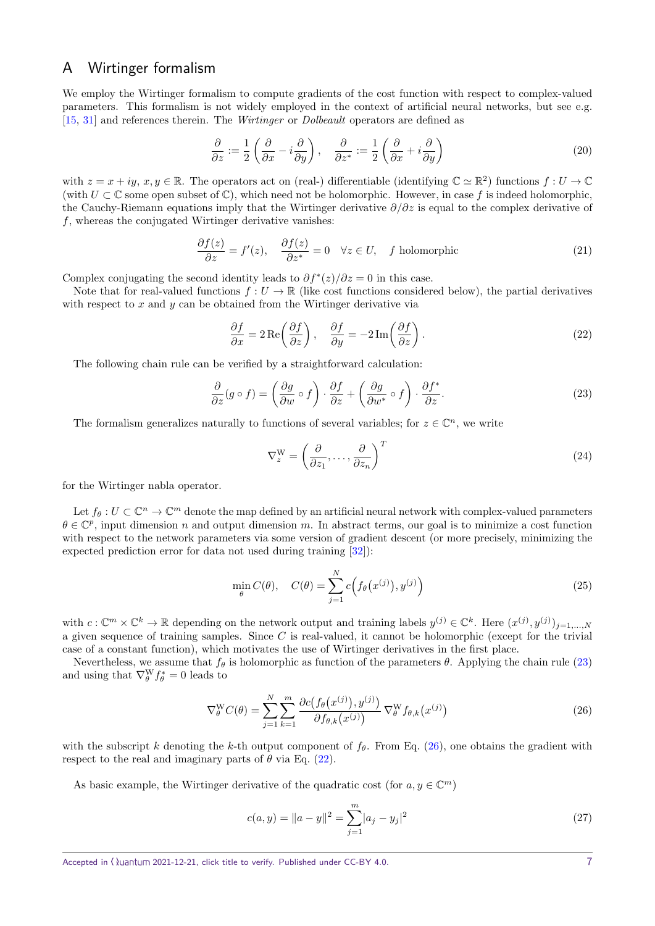## <span id="page-6-0"></span>A Wirtinger formalism

We employ the Wirtinger formalism to compute gradients of the cost function with respect to complex-valued parameters. This formalism is not widely employed in the context of artificial neural networks, but see e.g. [\[15,](#page-4-26) [31\]](#page-5-5) and references therein. The Wirtinger or Dolbeault operators are defined as

$$
\frac{\partial}{\partial z} := \frac{1}{2} \left( \frac{\partial}{\partial x} - i \frac{\partial}{\partial y} \right), \quad \frac{\partial}{\partial z^*} := \frac{1}{2} \left( \frac{\partial}{\partial x} + i \frac{\partial}{\partial y} \right)
$$
(20)

with  $z = x + iy, x, y \in \mathbb{R}$ . The operators act on (real-) differentiable (identifying  $\mathbb{C} \simeq \mathbb{R}^2$ ) functions  $f: U \to \mathbb{C}$ (with  $U \subset \mathbb{C}$  some open subset of  $\mathbb{C}$ ), which need not be holomorphic. However, in case f is indeed holomorphic, the Cauchy-Riemann equations imply that the Wirtinger derivative *∂/∂z* is equal to the complex derivative of *f*, whereas the conjugated Wirtinger derivative vanishes:

$$
\frac{\partial f(z)}{\partial z} = f'(z), \quad \frac{\partial f(z)}{\partial z^*} = 0 \quad \forall z \in U, \quad f \text{ holomorphic}
$$
\n(21)

Complex conjugating the second identity leads to  $\partial f^*(z)/\partial z = 0$  in this case.

Note that for real-valued functions  $f: U \to \mathbb{R}$  (like cost functions considered below), the partial derivatives with respect to *x* and *y* can be obtained from the Wirtinger derivative via

<span id="page-6-3"></span>
$$
\frac{\partial f}{\partial x} = 2 \operatorname{Re} \left( \frac{\partial f}{\partial z} \right), \quad \frac{\partial f}{\partial y} = -2 \operatorname{Im} \left( \frac{\partial f}{\partial z} \right). \tag{22}
$$

The following chain rule can be verified by a straightforward calculation:

<span id="page-6-1"></span>
$$
\frac{\partial}{\partial z}(g \circ f) = \left(\frac{\partial g}{\partial w} \circ f\right) \cdot \frac{\partial f}{\partial z} + \left(\frac{\partial g}{\partial w^*} \circ f\right) \cdot \frac{\partial f^*}{\partial z}.
$$
\n(23)

The formalism generalizes naturally to functions of several variables; for  $z \in \mathbb{C}^n$ , we write

$$
\nabla_z^{\mathbf{W}} = \left(\frac{\partial}{\partial z_1}, \dots, \frac{\partial}{\partial z_n}\right)^T \tag{24}
$$

for the Wirtinger nabla operator.

Let  $f_{\theta}: U \subset \mathbb{C}^n \to \mathbb{C}^m$  denote the map defined by an artificial neural network with complex-valued parameters  $\theta \in \mathbb{C}^p$ , input dimension *n* and output dimension *m*. In abstract terms, our goal is to minimize a cost function with respect to the network parameters via some version of gradient descent (or more precisely, minimizing the expected prediction error for data not used during training [\[32\]](#page-5-6)):

$$
\min_{\theta} C(\theta), \quad C(\theta) = \sum_{j=1}^{N} c\Big(f_{\theta}\big(x^{(j)}\big), y^{(j)}\Big) \tag{25}
$$

with  $c: \mathbb{C}^m \times \mathbb{C}^k \to \mathbb{R}$  depending on the network output and training labels  $y^{(j)} \in \mathbb{C}^k$ . Here  $(x^{(j)}, y^{(j)})_{j=1,\dots,N}$ a given sequence of training samples. Since *C* is real-valued, it cannot be holomorphic (except for the trivial case of a constant function), which motivates the use of Wirtinger derivatives in the first place.

Nevertheless, we assume that  $f_\theta$  is holomorphic as function of the parameters  $\theta$ . Applying the chain rule [\(23\)](#page-6-1) and using that  $\nabla_{\theta}^{\mathbf{W}} f_{\theta}^* = 0$  leads to

<span id="page-6-2"></span>
$$
\nabla_{\theta}^{\mathcal{W}} C(\theta) = \sum_{j=1}^{N} \sum_{k=1}^{m} \frac{\partial c(f_{\theta}(x^{(j)}), y^{(j)})}{\partial f_{\theta,k}(x^{(j)})} \nabla_{\theta}^{\mathcal{W}} f_{\theta,k}(x^{(j)})
$$
(26)

with the subscript *k* denoting the *k*-th output component of  $f_\theta$ . From Eq. [\(26\)](#page-6-2), one obtains the gradient with respect to the real and imaginary parts of  $\theta$  via Eq. [\(22\)](#page-6-3).

As basic example, the Wirtinger derivative of the quadratic cost (for  $a, y \in \mathbb{C}^m$ )

$$
c(a, y) = ||a - y||^2 = \sum_{j=1}^{m} |a_j - y_j|^2
$$
\n(27)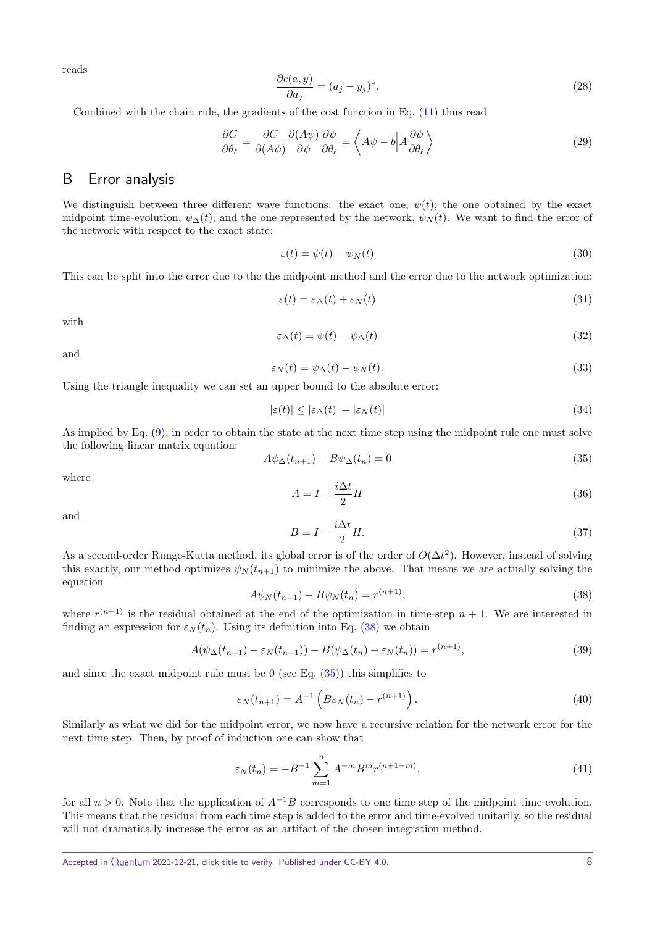reads

$$
\frac{\partial c(a,y)}{\partial a_j} = (a_j - y_j)^*.
$$
\n(28)

Combined with the chain rule, the gradients of the cost function in Eq. [\(11\)](#page-1-1) thus read

$$
\frac{\partial C}{\partial \theta_{\ell}} = \frac{\partial C}{\partial (A\psi)} \frac{\partial (A\psi)}{\partial \psi} \frac{\partial \psi}{\partial \theta_{\ell}} = \left\langle A\psi - b \middle| A \frac{\partial \psi}{\partial \theta_{\ell}} \right\rangle \tag{29}
$$

### B Error analysis

We distinguish between three different wave functions: the exact one,  $\psi(t)$ ; the one obtained by the exact midpoint time-evolution,  $\psi_{\Delta}(t)$ ; and the one represented by the network,  $\psi_{N}(t)$ . We want to find the error of the network with respect to the exact state:

$$
\varepsilon(t) = \psi(t) - \psi_N(t) \tag{30}
$$

This can be split into the error due to the the midpoint method and the error due to the network optimization:

$$
\varepsilon(t) = \varepsilon_{\Delta}(t) + \varepsilon_N(t) \tag{31}
$$

with

$$
\varepsilon_{\Delta}(t) = \psi(t) - \psi_{\Delta}(t) \tag{32}
$$

and

$$
\varepsilon_N(t) = \psi_\Delta(t) - \psi_N(t). \tag{33}
$$

Using the triangle inequality we can set an upper bound to the absolute error:

$$
|\varepsilon(t)| \le |\varepsilon_{\Delta}(t)| + |\varepsilon_{N}(t)| \tag{34}
$$

As implied by Eq. [\(9\)](#page-1-2), in order to obtain the state at the next time step using the midpoint rule one must solve the following linear matrix equation:

<span id="page-7-1"></span>
$$
A\psi_{\Delta}(t_{n+1}) - B\psi_{\Delta}(t_n) = 0\tag{35}
$$

where

$$
A = I + \frac{i\Delta t}{2}H\tag{36}
$$

and

$$
B = I - \frac{i\Delta t}{2}H.\tag{37}
$$

As a second-order Runge-Kutta method, its global error is of the order of  $O(\Delta t^2)$ . However, instead of solving this exactly, our method optimizes  $\psi_N(t_{n+1})$  to minimize the above. That means we are actually solving the equation

<span id="page-7-0"></span>
$$
A\psi_N(t_{n+1}) - B\psi_N(t_n) = r^{(n+1)},\tag{38}
$$

where  $r^{(n+1)}$  is the residual obtained at the end of the optimization in time-step  $n+1$ . We are interested in finding an expression for  $\varepsilon_N(t_n)$ . Using its definition into Eq. [\(38\)](#page-7-0) we obtain

$$
A(\psi_{\Delta}(t_{n+1}) - \varepsilon_N(t_{n+1})) - B(\psi_{\Delta}(t_n) - \varepsilon_N(t_n)) = r^{(n+1)},\tag{39}
$$

and since the exact midpoint rule must be 0 (see Eq.  $(35)$ ) this simplifies to

$$
\varepsilon_N(t_{n+1}) = A^{-1} \left( B \varepsilon_N(t_n) - r^{(n+1)} \right). \tag{40}
$$

Similarly as what we did for the midpoint error, we now have a recursive relation for the network error for the next time step. Then, by proof of induction one can show that

$$
\varepsilon_N(t_n) = -B^{-1} \sum_{m=1}^n A^{-m} B^m r^{(n+1-m)},
$$
\n(41)

for all  $n > 0$ . Note that the application of  $A^{-1}B$  corresponds to one time step of the midpoint time evolution. This means that the residual from each time step is added to the error and time-evolved unitarily, so the residual will not dramatically increase the error as an artifact of the chosen integration method.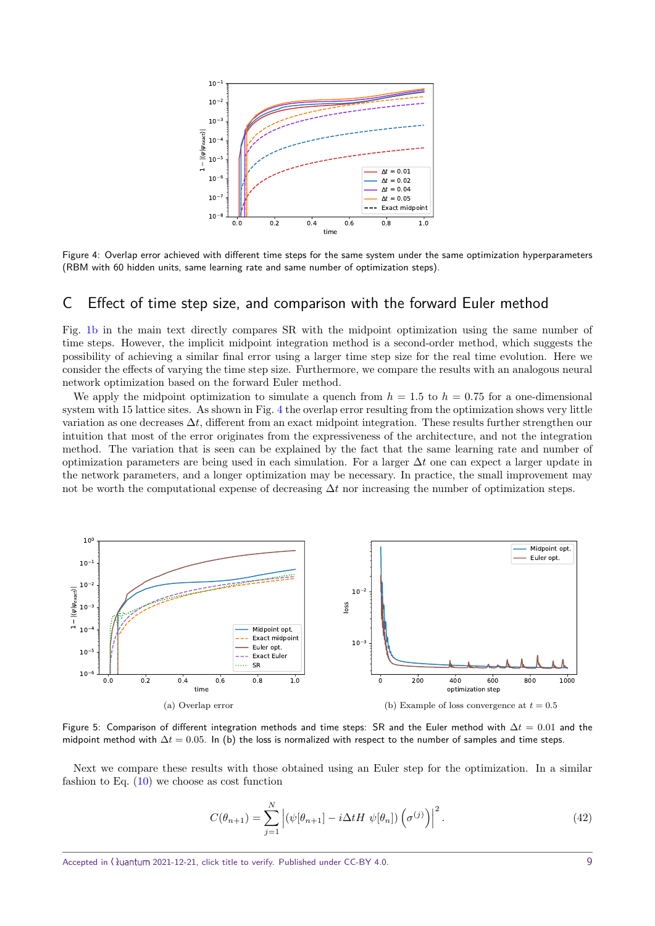<span id="page-8-0"></span>

Figure 4: Overlap error achieved with different time steps for the same system under the same optimization hyperparameters (RBM with 60 hidden units, same learning rate and same number of optimization steps).

#### C Effect of time step size, and comparison with the forward Euler method

Fig. [1b](#page-2-1) in the main text directly compares SR with the midpoint optimization using the same number of time steps. However, the implicit midpoint integration method is a second-order method, which suggests the possibility of achieving a similar final error using a larger time step size for the real time evolution. Here we consider the effects of varying the time step size. Furthermore, we compare the results with an analogous neural network optimization based on the forward Euler method.

We apply the midpoint optimization to simulate a quench from  $h = 1.5$  to  $h = 0.75$  for a one-dimensional system with 15 lattice sites. As shown in Fig. [4](#page-8-0) the overlap error resulting from the optimization shows very little variation as one decreases ∆*t*, different from an exact midpoint integration. These results further strengthen our intuition that most of the error originates from the expressiveness of the architecture, and not the integration method. The variation that is seen can be explained by the fact that the same learning rate and number of optimization parameters are being used in each simulation. For a larger ∆*t* one can expect a larger update in the network parameters, and a longer optimization may be necessary. In practice, the small improvement may not be worth the computational expense of decreasing ∆*t* nor increasing the number of optimization steps.

<span id="page-8-1"></span>

Figure 5: Comparison of different integration methods and time steps: SR and the Euler method with ∆*t* = 0*.*01 and the midpoint method with ∆*t* = 0*.*05. In (b) the loss is normalized with respect to the number of samples and time steps.

Next we compare these results with those obtained using an Euler step for the optimization. In a similar fashion to Eq.  $(10)$  we choose as cost function

<span id="page-8-2"></span>
$$
C(\theta_{n+1}) = \sum_{j=1}^{N} \left| (\psi[\theta_{n+1}] - i\Delta t H \ \psi[\theta_n]) \left( \sigma^{(j)} \right) \right|^2.
$$
 (42)

Accepted in  $\langle \lambda \rangle$ uantum 2021-12-21, click title to verify. Published under CC-BY 4.0. 9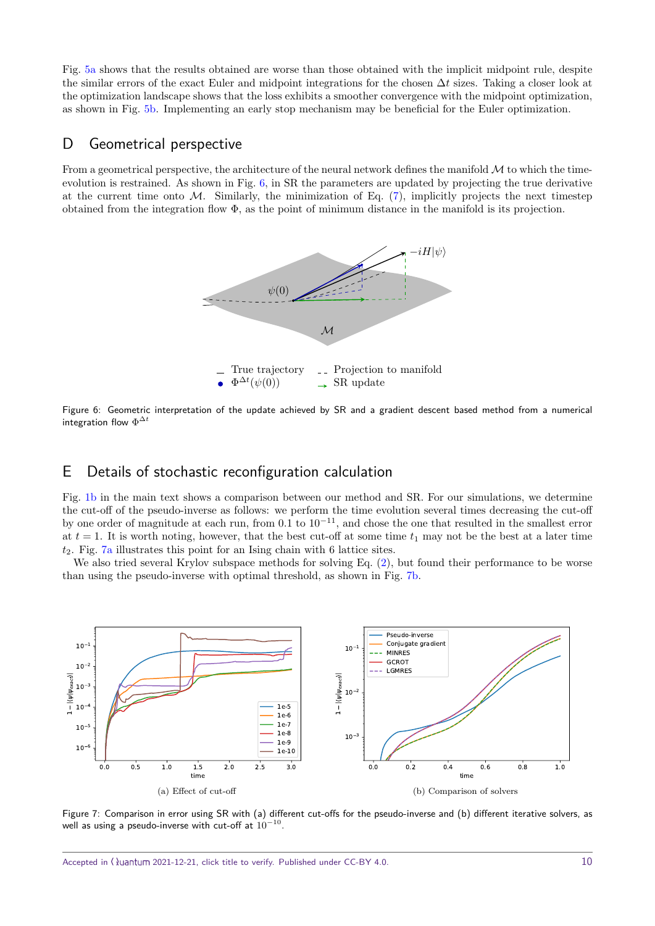Fig. [5a](#page-8-1) shows that the results obtained are worse than those obtained with the implicit midpoint rule, despite the similar errors of the exact Euler and midpoint integrations for the chosen ∆*t* sizes. Taking a closer look at the optimization landscape shows that the loss exhibits a smoother convergence with the midpoint optimization, as shown in Fig. [5b.](#page-8-2) Implementing an early stop mechanism may be beneficial for the Euler optimization.

### <span id="page-9-0"></span>D Geometrical perspective

<span id="page-9-1"></span>From a geometrical perspective, the architecture of the neural network defines the manifold  $\mathcal M$  to which the timeevolution is restrained. As shown in Fig. [6,](#page-9-1) in SR the parameters are updated by projecting the true derivative at the current time onto  $M$ . Similarly, the minimization of Eq.  $(7)$ , implicitly projects the next timestep obtained from the integration flow Φ, as the point of minimum distance in the manifold is its projection.



Figure 6: Geometric interpretation of the update achieved by SR and a gradient descent based method from a numerical integration flow  $\Phi^{\Delta t}$ 

## E Details of stochastic reconfiguration calculation

Fig. [1b](#page-2-1) in the main text shows a comparison between our method and SR. For our simulations, we determine the cut-off of the pseudo-inverse as follows: we perform the time evolution several times decreasing the cut-off by one order of magnitude at each run, from 0*.*1 to 10<sup>−</sup>11, and chose the one that resulted in the smallest error at  $t = 1$ . It is worth noting, however, that the best cut-off at some time  $t_1$  may not be the best at a later time *t*2. Fig. [7a](#page-9-2) illustrates this point for an Ising chain with 6 lattice sites.

We also tried several Krylov subspace methods for solving Eq.  $(2)$ , but found their performance to be worse than using the pseudo-inverse with optimal threshold, as shown in Fig. [7b.](#page-9-3)

<span id="page-9-2"></span>

<span id="page-9-3"></span>Figure 7: Comparison in error using SR with (a) different cut-offs for the pseudo-inverse and (b) different iterative solvers, as well as using a pseudo-inverse with cut-off at  $10^{-10}\raisebox{0.25ex}{\textbf{.}}$